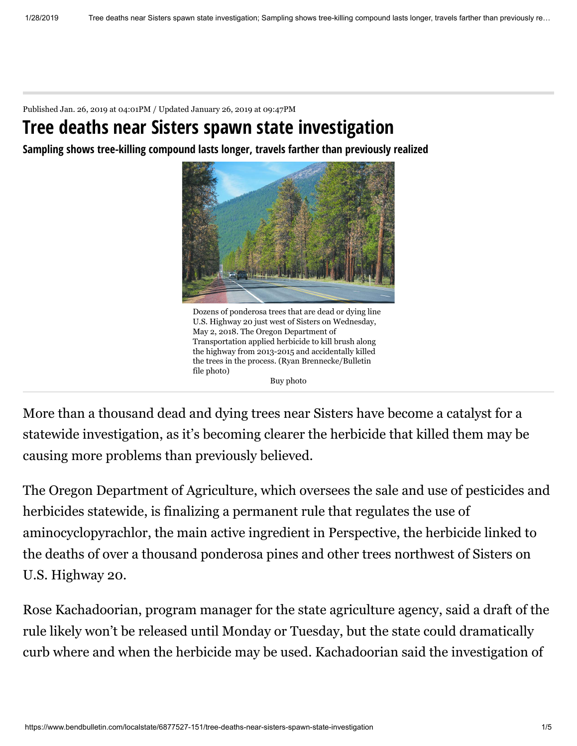Published Jan. 26, 2019 at 04:01PM / Updated January 26, 2019 at 09:47PM

## **Tree deaths near Sisters spawn state investigation**

**Sampling shows tree-killing compound lasts longer, travels farther than previously realized**



Dozens of ponderosa trees that are dead or dying line U.S. Highway 20 just west of Sisters on Wednesday, May 2, 2018. The Oregon Department of Transportation applied herbicide to kill brush along the highway from 2013-2015 and accidentally killed the trees in the process. (Ryan Brennecke/Bulletin file photo) Buy photo

More than a thousand dead and dying trees near Sisters have become a catalyst for a statewide investigation, as it's becoming clearer the herbicide that killed them may be causing more problems than previously believed.

The Oregon Department of Agriculture, which oversees the sale and use of pesticides and herbicides statewide, is finalizing a permanent rule that regulates the use of aminocyclopyrachlor, the main active ingredient in Perspective, the herbicide linked to the deaths of over a thousand ponderosa pines and other trees northwest of Sisters on U.S. Highway 20.

Rose Kachadoorian, program manager for the state agriculture agency, said a draft of the rule likely won't be released until Monday or Tuesday, but the state could dramatically curb where and when the herbicide may be used. Kachadoorian said the investigation of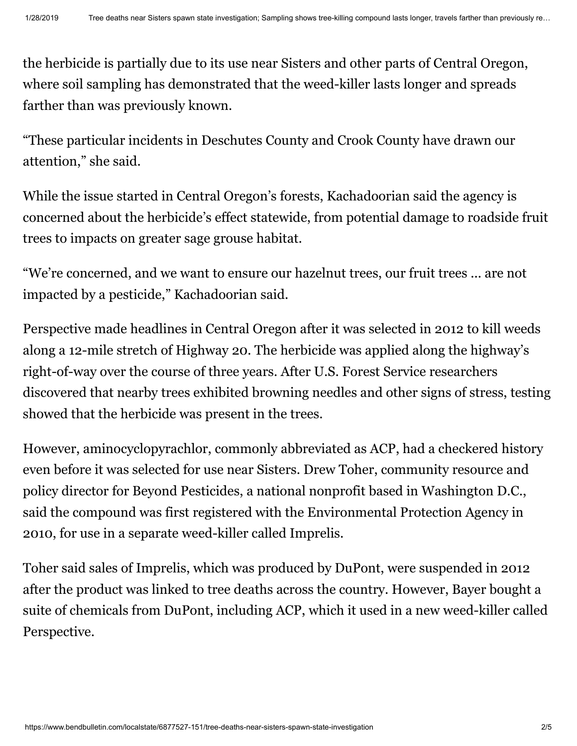the herbicide is partially due to its use near Sisters and other parts of Central Oregon, where soil sampling has demonstrated that the weed-killer lasts longer and spreads farther than was previously known.

"These particular incidents in Deschutes County and Crook County have drawn our attention," she said.

While the issue started in Central Oregon's forests, Kachadoorian said the agency is concerned about the herbicide's effect statewide, from potential damage to roadside fruit trees to impacts on greater sage grouse habitat.

"We're concerned, and we want to ensure our hazelnut trees, our fruit trees ... are not impacted by a pesticide," Kachadoorian said.

Perspective made headlines in Central Oregon after it was selected in 2012 to kill weeds along a 12-mile stretch of Highway 20. The herbicide was applied along the highway's right-of-way over the course of three years. After U.S. Forest Service researchers discovered that nearby trees exhibited browning needles and other signs of stress, testing showed that the herbicide was present in the trees.

However, aminocyclopyrachlor, commonly abbreviated as ACP, had a checkered history even before it was selected for use near Sisters. Drew Toher, community resource and policy director for Beyond Pesticides, a national nonprofit based in Washington D.C., said the compound was first registered with the Environmental Protection Agency in 2010, for use in a separate weed-killer called Imprelis.

Toher said sales of Imprelis, which was produced by DuPont, were suspended in 2012 after the product was linked to tree deaths across the country. However, Bayer bought a suite of chemicals from DuPont, including ACP, which it used in a new weed-killer called Perspective.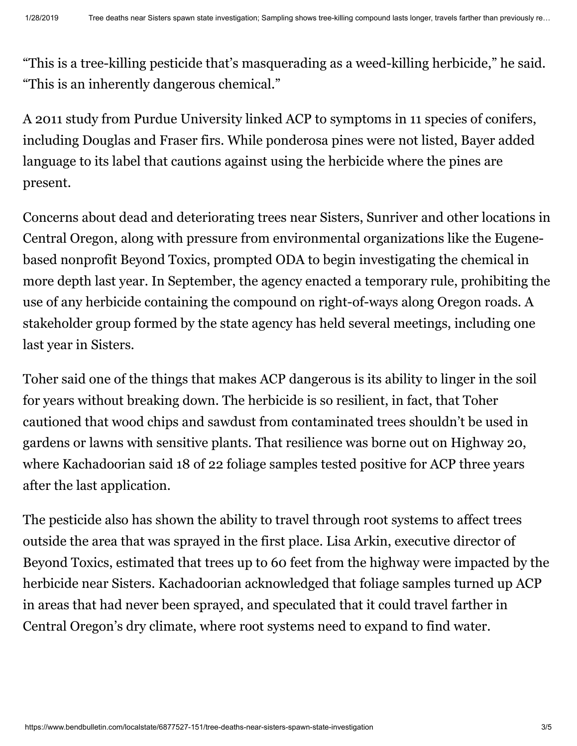"This is a tree-killing pesticide that's masquerading as a weed-killing herbicide," he said. "This is an inherently dangerous chemical."

A 2011 study from Purdue University linked ACP to symptoms in 11 species of conifers, including Douglas and Fraser firs. While ponderosa pines were not listed, Bayer added language to its label that cautions against using the herbicide where the pines are present.

Concerns about dead and deteriorating trees near Sisters, Sunriver and other locations in Central Oregon, along with pressure from environmental organizations like the Eugenebased nonprofit Beyond Toxics, prompted ODA to begin investigating the chemical in more depth last year. In September, the agency enacted a temporary rule, prohibiting the use of any herbicide containing the compound on right-of-ways along Oregon roads. A stakeholder group formed by the state agency has held several meetings, including one last year in Sisters.

Toher said one of the things that makes ACP dangerous is its ability to linger in the soil for years without breaking down. The herbicide is so resilient, in fact, that Toher cautioned that wood chips and sawdust from contaminated trees shouldn't be used in gardens or lawns with sensitive plants. That resilience was borne out on Highway 20, where Kachadoorian said 18 of 22 foliage samples tested positive for ACP three years after the last application.

The pesticide also has shown the ability to travel through root systems to affect trees outside the area that was sprayed in the first place. Lisa Arkin, executive director of Beyond Toxics, estimated that trees up to 60 feet from the highway were impacted by the herbicide near Sisters. Kachadoorian acknowledged that foliage samples turned up ACP in areas that had never been sprayed, and speculated that it could travel farther in Central Oregon's dry climate, where root systems need to expand to find water.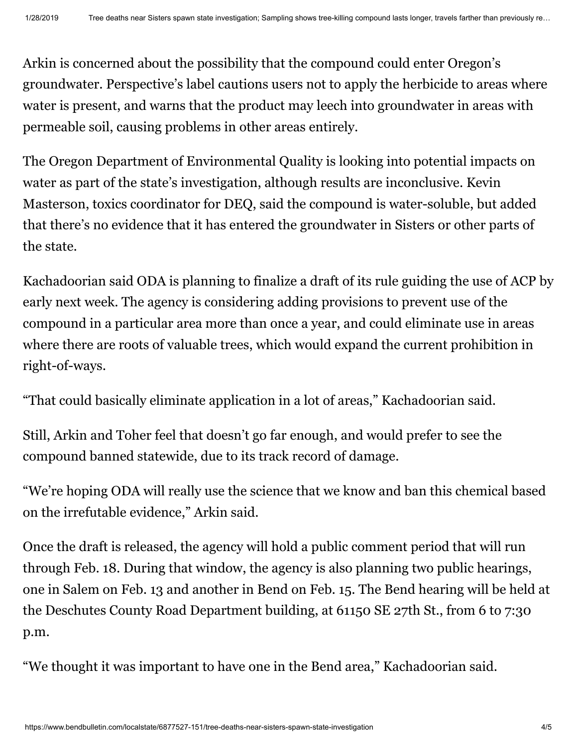Arkin is concerned about the possibility that the compound could enter Oregon's groundwater. Perspective's label cautions users not to apply the herbicide to areas where water is present, and warns that the product may leech into groundwater in areas with permeable soil, causing problems in other areas entirely.

The Oregon Department of Environmental Quality is looking into potential impacts on water as part of the state's investigation, although results are inconclusive. Kevin Masterson, toxics coordinator for DEQ, said the compound is water-soluble, but added that there's no evidence that it has entered the groundwater in Sisters or other parts of the state.

Kachadoorian said ODA is planning to finalize a draft of its rule guiding the use of ACP by early next week. The agency is considering adding provisions to prevent use of the compound in a particular area more than once a year, and could eliminate use in areas where there are roots of valuable trees, which would expand the current prohibition in right-of-ways.

"That could basically eliminate application in a lot of areas," Kachadoorian said.

Still, Arkin and Toher feel that doesn't go far enough, and would prefer to see the compound banned statewide, due to its track record of damage.

"We're hoping ODA will really use the science that we know and ban this chemical based on the irrefutable evidence," Arkin said.

Once the draft is released, the agency will hold a public comment period that will run through Feb. 18. During that window, the agency is also planning two public hearings, one in Salem on Feb. 13 and another in Bend on Feb. 15. The Bend hearing will be held at the Deschutes County Road Department building, at 61150 SE 27th St., from 6 to 7:30 p.m.

"We thought it was important to have one in the Bend area," Kachadoorian said.